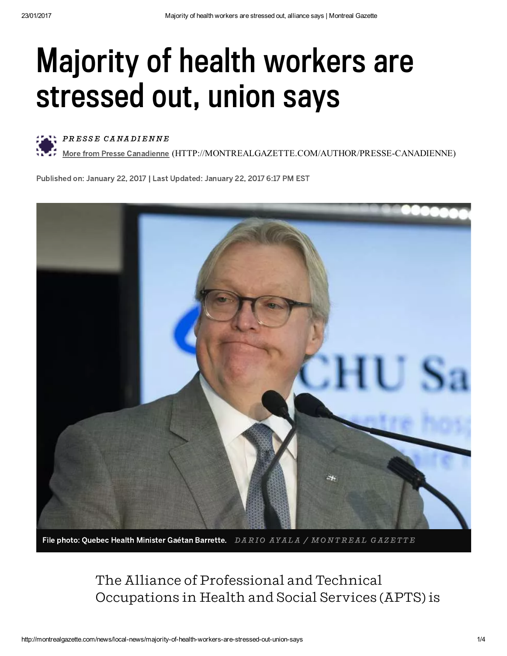## Majority of health workers are stressed out, union says



PRESSE CANADIENNE

More from Presse Canadienne [\(HTTP://MONTREALGAZETTE.COM/AUTHOR/PRESSECANADIENNE\)](http://montrealgazette.com/author/presse-canadienne)

Published on: January 22, 2017 | Last Updated: January 22, 2017 6:17 PM EST



File photo: Quebec Health Minister Gaétan Barrette.  $\,$  DARIO AYALA / MONTREAL GAZETTE

The Alliance of Professional and Technical Occupations in Health and Social Services (APTS) is